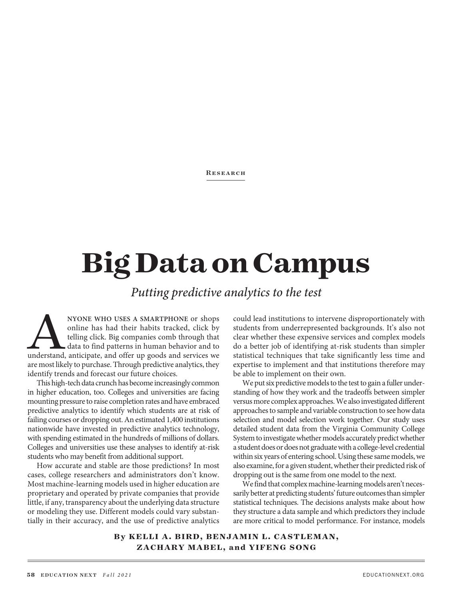#### **RESEARCH**

# **Big Data on Campus**

*Putting predictive analytics to the test*

NYONE WHO USES A SMARTPHONE or shops<br>
online has had their habits tracked, click by<br>
telling click. Big companies comb through that<br>
data to find patterns in human behavior and to<br>
understand, anticipate, and offer up good online has had their habits tracked, click by telling click. Big companies comb through that data to find patterns in human behavior and to are most likely to purchase. Through predictive analytics, they identify trends and forecast our future choices.

This high-tech data crunch has become increasingly common in higher education, too. Colleges and universities are facing mounting pressure to raise completion rates and have embraced predictive analytics to identify which students are at risk of failing courses or dropping out. An estimated 1,400 institutions nationwide have invested in predictive analytics technology, with spending estimated in the hundreds of millions of dollars. Colleges and universities use these analyses to identify at-risk students who may benefit from additional support.

How accurate and stable are those predictions? In most cases, college researchers and administrators don't know. Most machine-learning models used in higher education are proprietary and operated by private companies that provide little, if any, transparency about the underlying data structure or modeling they use. Different models could vary substantially in their accuracy, and the use of predictive analytics could lead institutions to intervene disproportionately with students from underrepresented backgrounds. It's also not clear whether these expensive services and complex models do a better job of identifying at-risk students than simpler statistical techniques that take significantly less time and expertise to implement and that institutions therefore may be able to implement on their own.

We put six predictive models to the test to gain a fuller understanding of how they work and the tradeoffs between simpler versus more complex approaches. We also investigated different approaches to sample and variable construction to see how data selection and model selection work together. Our study uses detailed student data from the Virginia Community College System to investigate whether models accurately predict whether a student does or does not graduate with a college-level credential within six years of entering school. Using these same models, we also examine, for a given student, whether their predicted risk of dropping out is the same from one model to the next.

We find that complex machine-learning models aren't necessarily better at predicting students' future outcomes than simpler statistical techniques. The decisions analysts make about how they structure a data sample and which predictors they include are more critical to model performance. For instance, models

**By KELLI A. BIRD, BENJAMIN L. CASTLEMAN, ZACHARY MABEL, and YIFENG SONG**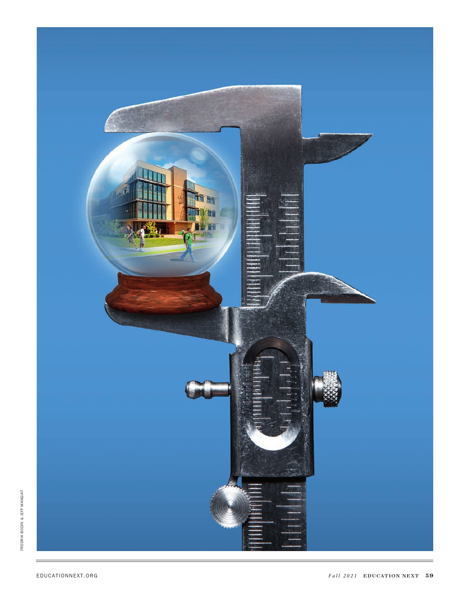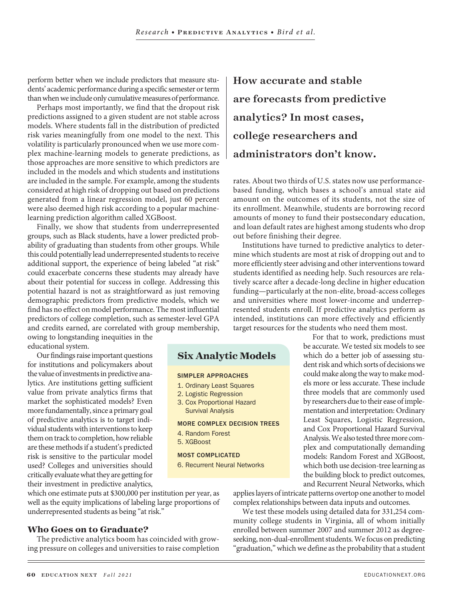**Six Analytic Models**

MORE COMPLEX DECISION TREES

SIMPLER APPROACHES 1. Ordinary Least Squares 2. Logistic Regression 3. Cox Proportional Hazard Survival Analysis

4. Random Forest 5. XGBoost

MOST COMPLICATED

perform better when we include predictors that measure stu-  $\parallel$   $\rm{How}$ dents' academic performance during a specific semester or term than when we include only cumulative measures of performance.

Perhaps most importantly, we find that the dropout risk predictions assigned to a given student are not stable across models. Where students fall in the distribution of predicted risk varies meaningfully from one model to the next. This volatility is particularly pronounced when we use more complex machine-learning models to generate predictions, as those approaches are more sensitive to which predictors are included in the models and which students and institutions are included in the sample. For example, among the students considered at high risk of dropping out based on predictions generated from a linear regression model, just 60 percent were also deemed high risk according to a popular machinelearning prediction algorithm called XGBoost.

Finally, we show that students from underrepresented groups, such as Black students, have a lower predicted probability of graduating than students from other groups. While this could potentially lead underrepresented students to receive additional support, the experience of being labeled "at risk" could exacerbate concerns these students may already have about their potential for success in college. Addressing this potential hazard is not as straightforward as just removing demographic predictors from predictive models, which we find has no effect on model performance. The most influential predictors of college completion, such as semester-level GPA and credits earned, are correlated with group membership, owing to longstanding inequities in the

educational system.

Our findings raise important questions for institutions and policymakers about the value of investments in predictive analytics. Are institutions getting sufficient value from private analytics firms that market the sophisticated models? Even more fundamentally, since a primary goal of predictive analytics is to target individual students with interventions to keep them on track to completion, how reliable are these methods if a student's predicted risk is sensitive to the particular model used? Colleges and universities should critically evaluate what they are getting for their investment in predictive analytics,

which one estimate puts at \$300,000 per institution per year, as well as the equity implications of labeling large proportions of underrepresented students as being "at risk."

## **Who Goes on to Graduate?**

The predictive analytics boom has coincided with growing pressure on colleges and universities to raise completion How accurate and stable are forecasts from predictive analytics? In most cases, college researchers and administrators don't know.

rates. About two thirds of U.S. states now use performancebased funding, which bases a school's annual state aid amount on the outcomes of its students, not the size of its enrollment. Meanwhile, students are borrowing record amounts of money to fund their postsecondary education, and loan default rates are highest among students who drop out before finishing their degree.

Institutions have turned to predictive analytics to determine which students are most at risk of dropping out and to more efficiently steer advising and other interventions toward students identified as needing help. Such resources are relatively scarce after a decade-long decline in higher education funding—particularly at the non-elite, broad-access colleges and universities where most lower-income and underrepresented students enroll. If predictive analytics perform as intended, institutions can more effectively and efficiently target resources for the students who need them most.

> For that to work, predictions must be accurate. We tested six models to see which do a better job of assessing student risk and which sorts of decisions we could make along the way to make models more or less accurate. These include three models that are commonly used by researchers due to their ease of implementation and interpretation: Ordinary Least Squares, Logistic Regression, and Cox Proportional Hazard Survival Analysis. We also tested three more complex and computationally demanding models: Random Forest and XGBoost, which both use decision-tree learning as the building block to predict outcomes, and Recurrent Neural Networks, which

6. Recurrent Neural Networks

applies layers of intricate patterns overtop one another to model complex relationships between data inputs and outcomes.

We test these models using detailed data for 331,254 community college students in Virginia, all of whom initially enrolled between summer 2007 and summer 2012 as degreeseeking, non-dual-enrollment students. We focus on predicting "graduation," which we define as the probability that a student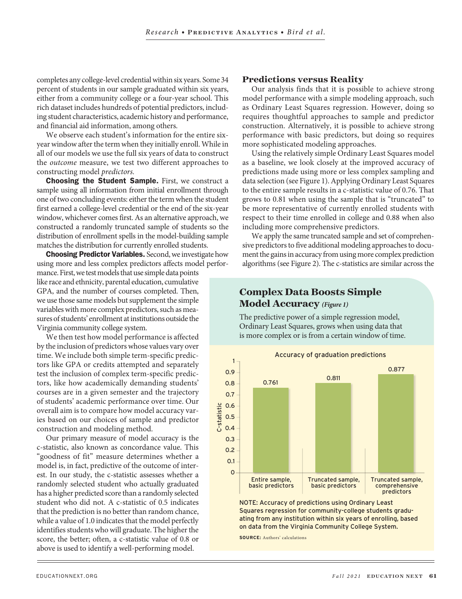completes any college-level credential within six years. Some 34 percent of students in our sample graduated within six years, either from a community college or a four-year school. This rich dataset includes hundreds of potential predictors, including student characteristics, academic history and performance, and financial aid information, among others.

We observe each student's information for the entire sixyear window after the term when they initially enroll. While in all of our models we use the full six years of data to construct the *outcome* measure, we test two different approaches to constructing model *predictors.* 

**Choosing the Student Sample.** First, we construct a sample using all information from initial enrollment through one of two concluding events: either the term when the student first earned a college-level credential or the end of the six-year window, whichever comes first. As an alternative approach, we constructed a randomly truncated sample of students so the distribution of enrollment spells in the model-building sample matches the distribution for currently enrolled students.

**Choosing Predictor Variables.** Second, we investigate how using more and less complex predictors affects model perfor-

mance. First, we test models that use simple data points like race and ethnicity, parental education, cumulative GPA, and the number of courses completed. Then, we use those same models but supplement the simple variables with more complex predictors, such as measures of students' enrollment at institutions outside the Virginia community college system.

We then test how model performance is affected by the inclusion of predictors whose values vary over time. We include both simple term-specific predictors like GPA or credits attempted and separately test the inclusion of complex term-specific predictors, like how academically demanding students' courses are in a given semester and the trajectory of students' academic performance over time. Our overall aim is to compare how model accuracy varies based on our choices of sample and predictor construction and modeling method.

Our primary measure of model accuracy is the c-statistic, also known as concordance value. This "goodness of fit" measure determines whether a model is, in fact, predictive of the outcome of interest. In our study, the c-statistic assesses whether a randomly selected student who actually graduated has a higher predicted score than a randomly selected student who did not. A c-statistic of 0.5 indicates that the prediction is no better than random chance, while a value of 1.0 indicates that the model perfectly identifies students who will graduate. The higher the score, the better; often, a c-statistic value of 0.8 or above is used to identify a well-performing model.

#### **Predictions versus Reality**

Our analysis finds that it is possible to achieve strong model performance with a simple modeling approach, such as Ordinary Least Squares regression. However, doing so requires thoughtful approaches to sample and predictor construction. Alternatively, it is possible to achieve strong performance with basic predictors, but doing so requires more sophisticated modeling approaches.

Using the relatively simple Ordinary Least Squares model as a baseline, we look closely at the improved accuracy of as a baseline, we look closely at the improved accuracy of<br>predictions made using more or less complex sampling and<br>data selection (see Figure 1) Applying Ordinary Least Squares data selection (see Figure 1). Applying Ordinary Least Squares to the entire sample results in a c-statistic value of 0.76. That grows to 0.81 when using the sample that is "truncated" to be more representative of currently enrolled students with respect to their time enrolled in college and 0.88 when also including more comprehensive predictors.

We apply the same truncated sample and set of comprehensive predictors to five additional modeling approaches to document the gains in accuracy from using more complex prediction algorithms (see Figure 2). The c-statistics are similar across the

## **Complex Data Boosts Simple Model Accuracy** *(Figure 1)*

The predictive power of a simple regression model, Ordinary Least Squares, grows when using data that is more complex or is from a certain window of time.



ating from any institution within six years of enrolling, based on data from the Virginia Community College System.

**SOURCE:** Authors' calculations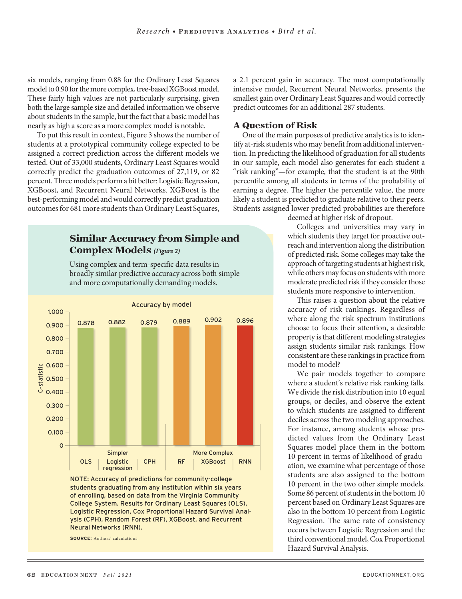six models, ranging from 0.88 for the Ordinary Least Squares model to 0.90 for the more complex, tree-based XGBoost model. These fairly high values are not particularly surprising, given both the large sample size and detailed information we observe about students in the sample, but the fact that a basic model has nearly as high a score as a more complex model is notable.

To put this result in context, Figure 3 shows the number of students at a prototypical community college expected to be assigned a correct prediction across the different models we tested. Out of 33,000 students, Ordinary Least Squares would correctly predict the graduation outcomes of 27,119, or 82 percent. Three models perform a bit better: Logistic Regression, XGBoost, and Recurrent Neural Networks. XGBoost is the best-performing model and would correctly predict graduation outcomes for 681 more students than Ordinary Least Squares,

# **Similar Accuracy from Simple and Complex Models** *(Figure 2)*

Using complex and term-specific data results in broadly similar predictive accuracy across both simple and more computationally demanding models.



NOTE: Accuracy of predictions for community-college students graduating from any institution within six years of enrolling, based on data from the Virginia Community College System. Results for Ordinary Least Squares (OLS), Logistic Regression, Cox Proportional Hazard Survival Analysis (CPH), Random Forest (RF), XGBoost, and Recurrent Neural Networks (RNN).

**SOURCE:** Authors' calculations

a 2.1 percent gain in accuracy. The most computationally intensive model, Recurrent Neural Networks, presents the smallest gain over Ordinary Least Squares and would correctly predict outcomes for an additional  $287$  students.

#### **A Question of Risk**

One of the main purposes of predictive analytics is to identify at-risk students who may benefit from additional intervention. In predicting the likelihood of graduation for all students in our sample, each model also generates for each student a "risk ranking"—for example, that the student is at the 90th percentile among all students in terms of the probability of earning a degree. The higher the percentile value, the more likely a student is predicted to graduate relative to their peers. Students assigned lower predicted probabilities are therefore

deemed at higher risk of dropout.

Colleges and universities may vary in which students they target for proactive outreach and intervention along the distribution of predicted risk. Some colleges may take the approach of targeting students at highest risk, while others may focus on students with more moderate predicted risk if they consider those students more responsive to intervention.

This raises a question about the relative accuracy of risk rankings. Regardless of where along the risk spectrum institutions choose to focus their attention, a desirable property is that different modeling strategies assign students similar risk rankings. How consistent are these rankings in practice from model to model?

We pair models together to compare where a student's relative risk ranking falls. We divide the risk distribution into 10 equal groups, or deciles, and observe the extent to which students are assigned to different deciles across the two modeling approaches. For instance, among students whose predicted values from the Ordinary Least Squares model place them in the bottom 10 percent in terms of likelihood of graduation, we examine what percentage of those students are also assigned to the bottom 10 percent in the two other simple models. Some 86 percent of students in the bottom 10 percent based on Ordinary Least Squares are also in the bottom 10 percent from Logistic Regression. The same rate of consistency occurs between Logistic Regression and the third conventional model, Cox Proportional Hazard Survival Analysis.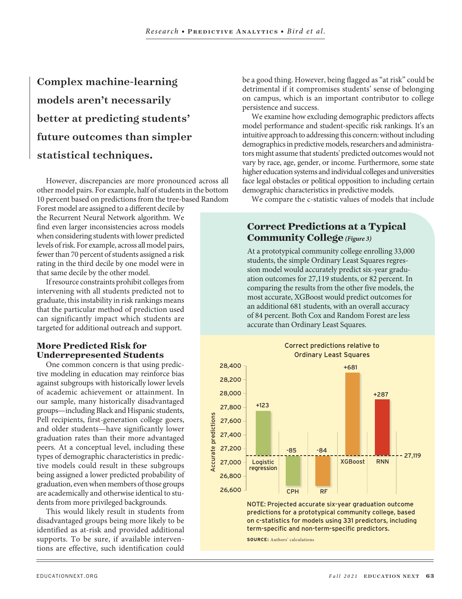Complex machine-learning models aren't necessarily better at predicting students' future outcomes than simpler statistical techniques.

However, discrepancies are more pronounced across all other model pairs. For example, half of students in the bottom 10 percent based on predictions from the tree-based Random

Forest model are assigned to a different decile by the Recurrent Neural Network algorithm. We find even larger inconsistencies across models when considering students with lower predicted levels of risk. For example, across all model pairs, fewer than 70 percent of students assigned a risk rating in the third decile by one model were in that same decile by the other model.

If resource constraints prohibit colleges from intervening with all students predicted not to graduate, this instability in risk rankings means that the particular method of prediction used can significantly impact which students are targeted for additional outreach and support.

## **More Predicted Risk for Underrepresented Students**

One common concern is that using predictive modeling in education may reinforce bias against subgroups with historically lower levels of academic achievement or attainment. In our sample, many historically disadvantaged groups—including Black and Hispanic students, Pell recipients, first-generation college goers, and older students—have significantly lower graduation rates than their more advantaged peers. At a conceptual level, including these types of demographic characteristics in predictive models could result in these subgroups being assigned a lower predicted probability of graduation, even when members of those groups are academically and otherwise identical to students from more privileged backgrounds.

This would likely result in students from disadvantaged groups being more likely to be identified as at-risk and provided additional supports. To be sure, if available interventions are effective, such identification could be a good thing. However, being flagged as "at risk" could be detrimental if it compromises students' sense of belonging on campus, which is an important contributor to college persistence and success.

We examine how excluding demographic predictors affects model performance and student-specific risk rankings. It's an intuitive approach to addressing this concern: without including demographics in predictive models, researchers and administrators might assume that students' predicted outcomes would not vary by race, age, gender, or income. Furthermore, some state higher education systems and individual colleges and universities face legal obstacles or political opposition to including certain demographic characteristics in predictive models.

We compare the c-statistic values of models that include

# **Correct Predictions at a Typical Community College***(Figure 3)*

At a prototypical community college enrolling 33,000 students, the simple Ordinary Least Squares regression model would accurately predict six-year graduation outcomes for 27,119 students, or 82 percent. In comparing the results from the other five models, the most accurate, XGBoost would predict outcomes for an additional 681 students, with an overall accuracy of 84 percent. Both Cox and Random Forest are less accurate than Ordinary Least Squares.



predictions for a prototypical community college, based on c-statistics for models using 331 predictors, including term-specific and non-term-specific predictors.

**SOURCE:** Authors' calculations